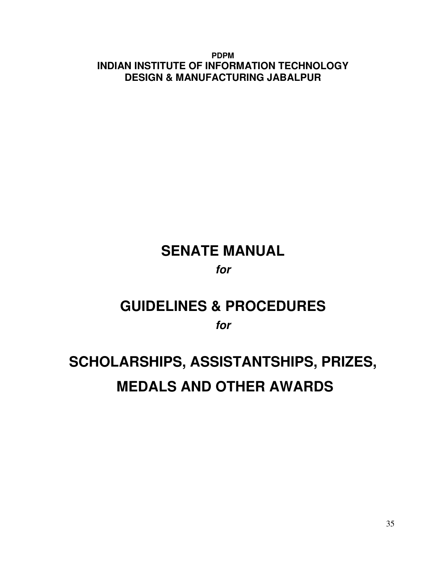**PDPM INDIAN INSTITUTE OF INFORMATION TECHNOLOGY DESIGN & MANUFACTURING JABALPUR** 

## **SENATE MANUAL**

### **for**

# **GUIDELINES & PROCEDURES**

**for** 

## **SCHOLARSHIPS, ASSISTANTSHIPS, PRIZES, MEDALS AND OTHER AWARDS**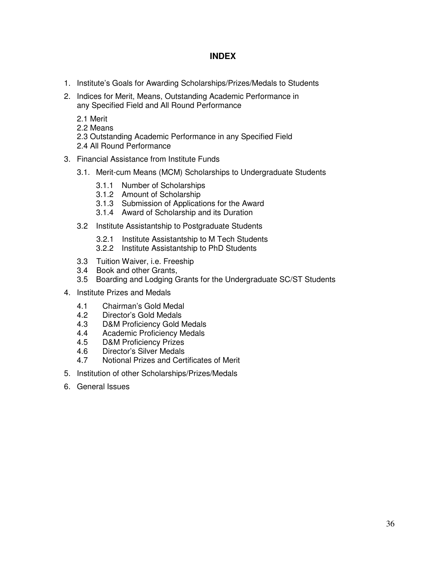#### **INDEX**

- 1. Institute's Goals for Awarding Scholarships/Prizes/Medals to Students
- 2. Indices for Merit, Means, Outstanding Academic Performance in any Specified Field and All Round Performance
	- 2.1 Merit
	- 2.2 Means
	- 2.3 Outstanding Academic Performance in any Specified Field
	- 2.4 All Round Performance
- 3. Financial Assistance from Institute Funds
	- 3.1. Merit-cum Means (MCM) Scholarships to Undergraduate Students
		- 3.1.1 Number of Scholarships
		- 3.1.2 Amount of Scholarship
		- 3.1.3 Submission of Applications for the Award
		- 3.1.4 Award of Scholarship and its Duration
	- 3.2 Institute Assistantship to Postgraduate Students
		- 3.2.1 Institute Assistantship to M Tech Students
		- 3.2.2 Institute Assistantship to PhD Students
	- 3.3 Tuition Waiver, i.e. Freeship
	- Book and other Grants,
	- 3.5 Boarding and Lodging Grants for the Undergraduate SC/ST Students
- 4. Institute Prizes and Medals
	- 4.1 Chairman's Gold Medal
	- 4.2 Director's Gold Medals
	- 4.3 D&M Proficiency Gold Medals
	- 4.4 Academic Proficiency Medals
	- 4.5 D&M Proficiency Prizes
	- 4.6 Director's Silver Medals
	- 4.7 Notional Prizes and Certificates of Merit
- 5. Institution of other Scholarships/Prizes/Medals
- 6. General Issues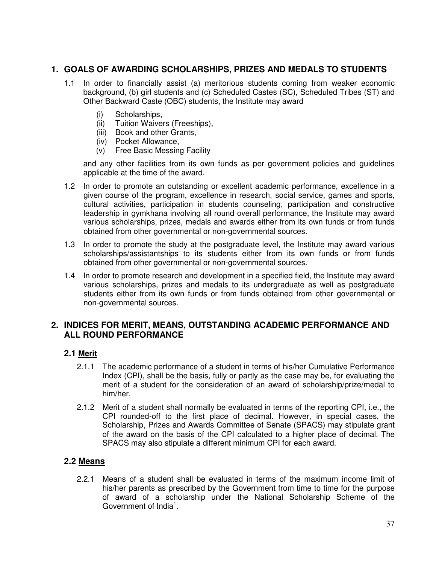#### **1. GOALS OF AWARDING SCHOLARSHIPS, PRIZES AND MEDALS TO STUDENTS**

- 1.1 In order to financially assist (a) meritorious students coming from weaker economic background, (b) girl students and (c) Scheduled Castes (SC), Scheduled Tribes (ST) and Other Backward Caste (OBC) students, the Institute may award
	- (i) Scholarships,
	- (ii) Tuition Waivers (Freeships),
	- (iii) Book and other Grants,
	- (iv) Pocket Allowance,
	- (v) Free Basic Messing Facility

and any other facilities from its own funds as per government policies and guidelines applicable at the time of the award.

- 1.2 In order to promote an outstanding or excellent academic performance, excellence in a given course of the program, excellence in research, social service, games and sports, cultural activities, participation in students counseling, participation and constructive leadership in gymkhana involving all round overall performance, the Institute may award various scholarships, prizes, medals and awards either from its own funds or from funds obtained from other governmental or non-governmental sources.
- 1.3 In order to promote the study at the postgraduate level, the Institute may award various scholarships/assistantships to its students either from its own funds or from funds obtained from other governmental or non-governmental sources.
- 1.4 In order to promote research and development in a specified field, the Institute may award various scholarships, prizes and medals to its undergraduate as well as postgraduate students either from its own funds or from funds obtained from other governmental or non-governmental sources.

#### **2. INDICES FOR MERIT, MEANS, OUTSTANDING ACADEMIC PERFORMANCE AND ALL ROUND PERFORMANCE**

#### **2.1 Merit**

- 2.1.1 The academic performance of a student in terms of his/her Cumulative Performance Index (CPI), shall be the basis, fully or partly as the case may be, for evaluating the merit of a student for the consideration of an award of scholarship/prize/medal to him/her.
- 2.1.2 Merit of a student shall normally be evaluated in terms of the reporting CPI, i.e., the CPI rounded-off to the first place of decimal. However, in special cases, the Scholarship, Prizes and Awards Committee of Senate (SPACS) may stipulate grant of the award on the basis of the CPI calculated to a higher place of decimal. The SPACS may also stipulate a different minimum CPI for each award.

#### **2.2 Means**

2.2.1 Means of a student shall be evaluated in terms of the maximum income limit of his/her parents as prescribed by the Government from time to time for the purpose of award of a scholarship under the National Scholarship Scheme of the Government of India<sup>1</sup>.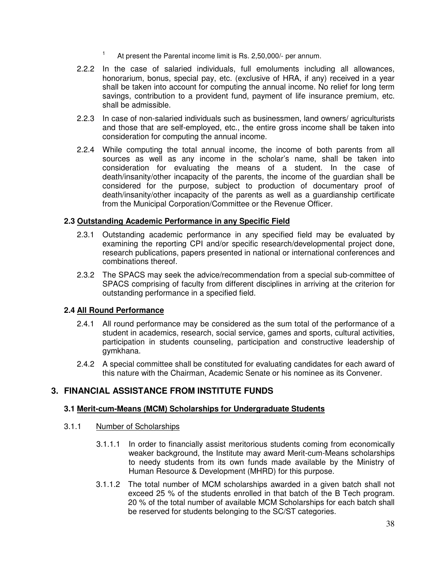- 1 At present the Parental income limit is Rs. 2,50,000/- per annum.
- 2.2.2 In the case of salaried individuals, full emoluments including all allowances, honorarium, bonus, special pay, etc. (exclusive of HRA, if any) received in a year shall be taken into account for computing the annual income. No relief for long term savings, contribution to a provident fund, payment of life insurance premium, etc. shall be admissible.
- 2.2.3 In case of non-salaried individuals such as businessmen, land owners/ agriculturists and those that are self-employed, etc., the entire gross income shall be taken into consideration for computing the annual income.
- 2.2.4 While computing the total annual income, the income of both parents from all sources as well as any income in the scholar's name, shall be taken into consideration for evaluating the means of a student. In the case of death/insanity/other incapacity of the parents, the income of the guardian shall be considered for the purpose, subject to production of documentary proof of death/insanity/other incapacity of the parents as well as a guardianship certificate from the Municipal Corporation/Committee or the Revenue Officer.

#### **2.3 Outstanding Academic Performance in any Specific Field**

- 2.3.1 Outstanding academic performance in any specified field may be evaluated by examining the reporting CPI and/or specific research/developmental project done, research publications, papers presented in national or international conferences and combinations thereof.
- 2.3.2 The SPACS may seek the advice/recommendation from a special sub-committee of SPACS comprising of faculty from different disciplines in arriving at the criterion for outstanding performance in a specified field.

#### **2.4 All Round Performance**

- 2.4.1 All round performance may be considered as the sum total of the performance of a student in academics, research, social service, games and sports, cultural activities, participation in students counseling, participation and constructive leadership of gymkhana.
- 2.4.2 A special committee shall be constituted for evaluating candidates for each award of this nature with the Chairman, Academic Senate or his nominee as its Convener.

#### **3. FINANCIAL ASSISTANCE FROM INSTITUTE FUNDS**

#### **3.1 Merit-cum-Means (MCM) Scholarships for Undergraduate Students**

- 3.1.1 Number of Scholarships
	- 3.1.1.1 In order to financially assist meritorious students coming from economically weaker background, the Institute may award Merit-cum-Means scholarships to needy students from its own funds made available by the Ministry of Human Resource & Development (MHRD) for this purpose.
	- 3.1.1.2 The total number of MCM scholarships awarded in a given batch shall not exceed 25 % of the students enrolled in that batch of the B Tech program. 20 % of the total number of available MCM Scholarships for each batch shall be reserved for students belonging to the SC/ST categories.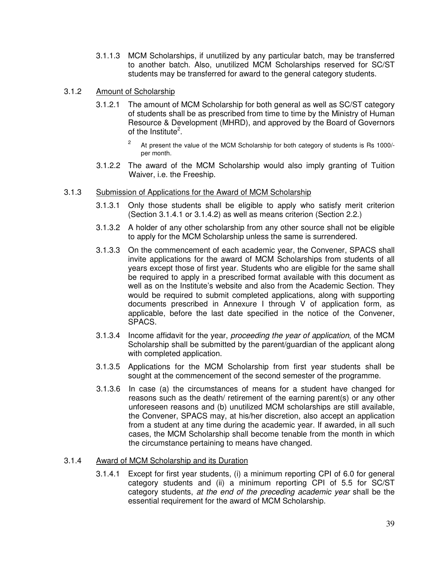- 3.1.1.3 MCM Scholarships, if unutilized by any particular batch, may be transferred to another batch. Also, unutilized MCM Scholarships reserved for SC/ST students may be transferred for award to the general category students.
- 3.1.2 Amount of Scholarship
	- 3.1.2.1 The amount of MCM Scholarship for both general as well as SC/ST category of students shall be as prescribed from time to time by the Ministry of Human Resource & Development (MHRD), and approved by the Board of Governors of the Institute<sup>2</sup>.
		- 2 At present the value of the MCM Scholarship for both category of students is Rs 1000/ per month.
	- 3.1.2.2 The award of the MCM Scholarship would also imply granting of Tuition Waiver, i.e. the Freeship.

#### 3.1.3 Submission of Applications for the Award of MCM Scholarship

- 3.1.3.1 Only those students shall be eligible to apply who satisfy merit criterion (Section 3.1.4.1 or 3.1.4.2) as well as means criterion (Section 2.2.)
- 3.1.3.2 A holder of any other scholarship from any other source shall not be eligible to apply for the MCM Scholarship unless the same is surrendered.
- 3.1.3.3 On the commencement of each academic year, the Convener, SPACS shall invite applications for the award of MCM Scholarships from students of all years except those of first year. Students who are eligible for the same shall be required to apply in a prescribed format available with this document as well as on the Institute's website and also from the Academic Section. They would be required to submit completed applications, along with supporting documents prescribed in Annexure I through V of application form, as applicable, before the last date specified in the notice of the Convener, SPACS.
- 3.1.3.4 Income affidavit for the year, proceeding the year of application, of the MCM Scholarship shall be submitted by the parent/guardian of the applicant along with completed application.
- 3.1.3.5 Applications for the MCM Scholarship from first year students shall be sought at the commencement of the second semester of the programme.
- 3.1.3.6 In case (a) the circumstances of means for a student have changed for reasons such as the death/ retirement of the earning parent(s) or any other unforeseen reasons and (b) unutilized MCM scholarships are still available, the Convener, SPACS may, at his/her discretion, also accept an application from a student at any time during the academic year. If awarded, in all such cases, the MCM Scholarship shall become tenable from the month in which the circumstance pertaining to means have changed.

#### 3.1.4 Award of MCM Scholarship and its Duration

3.1.4.1 Except for first year students, (i) a minimum reporting CPI of 6.0 for general category students and (ii) a minimum reporting CPI of 5.5 for SC/ST category students, at the end of the preceding academic year shall be the essential requirement for the award of MCM Scholarship.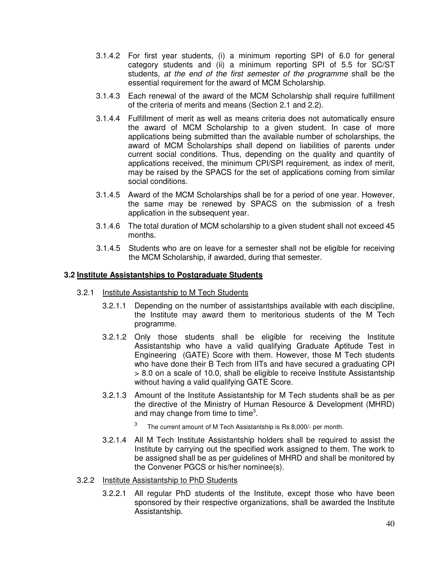- 3.1.4.2 For first year students, (i) a minimum reporting SPI of 6.0 for general category students and (ii) a minimum reporting SPI of 5.5 for SC/ST students, at the end of the first semester of the programme shall be the essential requirement for the award of MCM Scholarship.
- 3.1.4.3 Each renewal of the award of the MCM Scholarship shall require fulfillment of the criteria of merits and means (Section 2.1 and 2.2).
- 3.1.4.4 Fulfillment of merit as well as means criteria does not automatically ensure the award of MCM Scholarship to a given student. In case of more applications being submitted than the available number of scholarships, the award of MCM Scholarships shall depend on liabilities of parents under current social conditions. Thus, depending on the quality and quantity of applications received, the minimum CPI/SPI requirement, as index of merit, may be raised by the SPACS for the set of applications coming from similar social conditions.
- 3.1.4.5 Award of the MCM Scholarships shall be for a period of one year. However, the same may be renewed by SPACS on the submission of a fresh application in the subsequent year.
- 3.1.4.6 The total duration of MCM scholarship to a given student shall not exceed 45 months.
- 3.1.4.5 Students who are on leave for a semester shall not be eligible for receiving the MCM Scholarship, if awarded, during that semester.

#### **3.2 Institute Assistantships to Postgraduate Students**

- 3.2.1 Institute Assistantship to M Tech Students
	- 3.2.1.1 Depending on the number of assistantships available with each discipline, the Institute may award them to meritorious students of the M Tech programme.
	- 3.2.1.2 Only those students shall be eligible for receiving the Institute Assistantship who have a valid qualifying Graduate Aptitude Test in Engineering (GATE) Score with them. However, those M Tech students who have done their B Tech from IITs and have secured a graduating CPI > 8.0 on a scale of 10.0, shall be eligible to receive Institute Assistantship without having a valid qualifying GATE Score.
	- 3.2.1.3 Amount of the Institute Assistantship for M Tech students shall be as per the directive of the Ministry of Human Resource & Development (MHRD) and may change from time to time<sup>3</sup>.
		- 3 The current amount of M Tech Assistantship is Rs 8,000/- per month.
	- 3.2.1.4 All M Tech Institute Assistantship holders shall be required to assist the Institute by carrying out the specified work assigned to them. The work to be assigned shall be as per guidelines of MHRD and shall be monitored by the Convener PGCS or his/her nominee(s).
- 3.2.2 Institute Assistantship to PhD Students
	- 3.2.2.1 All regular PhD students of the Institute, except those who have been sponsored by their respective organizations, shall be awarded the Institute Assistantship.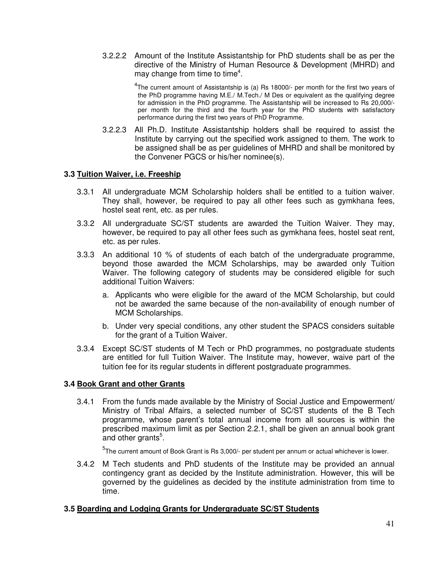3.2.2.2 Amount of the Institute Assistantship for PhD students shall be as per the directive of the Ministry of Human Resource & Development (MHRD) and may change from time to time<sup>4</sup>.

> $<sup>4</sup>$ The current amount of Assistantship is (a) Rs 18000/- per month for the first two years of</sup> the PhD programme having M.E./ M.Tech./ M Des or equivalent as the qualifying degree for admission in the PhD programme. The Assistantship will be increased to Rs 20,000/per month for the third and the fourth year for the PhD students with satisfactory performance during the first two years of PhD Programme.

3.2.2.3 All Ph.D. Institute Assistantship holders shall be required to assist the Institute by carrying out the specified work assigned to them. The work to be assigned shall be as per guidelines of MHRD and shall be monitored by the Convener PGCS or his/her nominee(s).

#### **3.3 Tuition Waiver, i.e. Freeship**

- 3.3.1 All undergraduate MCM Scholarship holders shall be entitled to a tuition waiver. They shall, however, be required to pay all other fees such as gymkhana fees, hostel seat rent, etc. as per rules.
- 3.3.2 All undergraduate SC/ST students are awarded the Tuition Waiver. They may, however, be required to pay all other fees such as gymkhana fees, hostel seat rent, etc. as per rules.
- 3.3.3 An additional 10 % of students of each batch of the undergraduate programme, beyond those awarded the MCM Scholarships, may be awarded only Tuition Waiver. The following category of students may be considered eligible for such additional Tuition Waivers:
	- a. Applicants who were eligible for the award of the MCM Scholarship, but could not be awarded the same because of the non-availability of enough number of MCM Scholarships.
	- b. Under very special conditions, any other student the SPACS considers suitable for the grant of a Tuition Waiver.
- 3.3.4 Except SC/ST students of M Tech or PhD programmes, no postgraduate students are entitled for full Tuition Waiver. The Institute may, however, waive part of the tuition fee for its regular students in different postgraduate programmes.

#### **3.4 Book Grant and other Grants**

3.4.1 From the funds made available by the Ministry of Social Justice and Empowerment/ Ministry of Tribal Affairs, a selected number of SC/ST students of the B Tech programme, whose parent's total annual income from all sources is within the prescribed maximum limit as per Section 2.2.1, shall be given an annual book grant and other grants<sup>5</sup>.

 $^5$ The current amount of Book Grant is Rs 3,000/- per student per annum or actual whichever is lower.

3.4.2 M Tech students and PhD students of the Institute may be provided an annual contingency grant as decided by the Institute administration. However, this will be governed by the guidelines as decided by the institute administration from time to time.

#### **3.5 Boarding and Lodging Grants for Undergraduate SC/ST Students**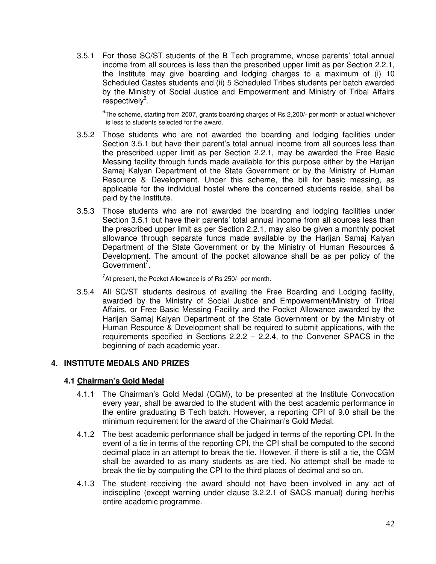3.5.1 For those SC/ST students of the B Tech programme, whose parents' total annual income from all sources is less than the prescribed upper limit as per Section 2.2.1, the Institute may give boarding and lodging charges to a maximum of (i) 10 Scheduled Castes students and (ii) 5 Scheduled Tribes students per batch awarded by the Ministry of Social Justice and Empowerment and Ministry of Tribal Affairs respectively<sup>6</sup>.

 ${}^{6}$ The scheme, starting from 2007, grants boarding charges of Rs 2,200/- per month or actual whichever is less to students selected for the award.

- 3.5.2 Those students who are not awarded the boarding and lodging facilities under Section 3.5.1 but have their parent's total annual income from all sources less than the prescribed upper limit as per Section 2.2.1, may be awarded the Free Basic Messing facility through funds made available for this purpose either by the Harijan Samaj Kalyan Department of the State Government or by the Ministry of Human Resource & Development. Under this scheme, the bill for basic messing, as applicable for the individual hostel where the concerned students reside, shall be paid by the Institute.
- 3.5.3 Those students who are not awarded the boarding and lodging facilities under Section 3.5.1 but have their parents' total annual income from all sources less than the prescribed upper limit as per Section 2.2.1, may also be given a monthly pocket allowance through separate funds made available by the Harijan Samaj Kalyan Department of the State Government or by the Ministry of Human Resources & Development. The amount of the pocket allowance shall be as per policy of the Government<sup>7</sup>.

 $7$ At present, the Pocket Allowance is of Rs 250/- per month.

3.5.4 All SC/ST students desirous of availing the Free Boarding and Lodging facility, awarded by the Ministry of Social Justice and Empowerment/Ministry of Tribal Affairs, or Free Basic Messing Facility and the Pocket Allowance awarded by the Harijan Samaj Kalyan Department of the State Government or by the Ministry of Human Resource & Development shall be required to submit applications, with the requirements specified in Sections 2.2.2 – 2.2.4, to the Convener SPACS in the beginning of each academic year.

#### **4. INSTITUTE MEDALS AND PRIZES**

#### **4.1 Chairman's Gold Medal**

- 4.1.1 The Chairman's Gold Medal (CGM), to be presented at the Institute Convocation every year, shall be awarded to the student with the best academic performance in the entire graduating B Tech batch. However, a reporting CPI of 9.0 shall be the minimum requirement for the award of the Chairman's Gold Medal.
- 4.1.2 The best academic performance shall be judged in terms of the reporting CPI. In the event of a tie in terms of the reporting CPI, the CPI shall be computed to the second decimal place in an attempt to break the tie. However, if there is still a tie, the CGM shall be awarded to as many students as are tied. No attempt shall be made to break the tie by computing the CPI to the third places of decimal and so on.
- 4.1.3 The student receiving the award should not have been involved in any act of indiscipline (except warning under clause 3.2.2.1 of SACS manual) during her/his entire academic programme.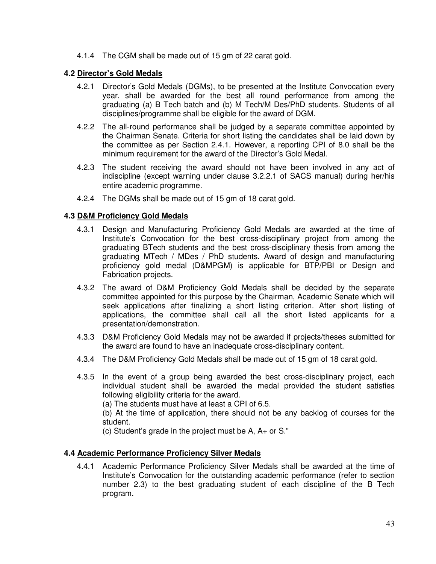4.1.4 The CGM shall be made out of 15 gm of 22 carat gold.

#### **4.2 Director's Gold Medals**

- 4.2.1 Director's Gold Medals (DGMs), to be presented at the Institute Convocation every year, shall be awarded for the best all round performance from among the graduating (a) B Tech batch and (b) M Tech/M Des/PhD students. Students of all disciplines/programme shall be eligible for the award of DGM.
- 4.2.2 The all-round performance shall be judged by a separate committee appointed by the Chairman Senate. Criteria for short listing the candidates shall be laid down by the committee as per Section 2.4.1. However, a reporting CPI of 8.0 shall be the minimum requirement for the award of the Director's Gold Medal.
- 4.2.3 The student receiving the award should not have been involved in any act of indiscipline (except warning under clause 3.2.2.1 of SACS manual) during her/his entire academic programme.
- 4.2.4 The DGMs shall be made out of 15 gm of 18 carat gold.

#### **4.3 D&M Proficiency Gold Medals**

- 4.3.1 Design and Manufacturing Proficiency Gold Medals are awarded at the time of Institute's Convocation for the best cross-disciplinary project from among the graduating BTech students and the best cross-disciplinary thesis from among the graduating MTech / MDes / PhD students. Award of design and manufacturing proficiency gold medal (D&MPGM) is applicable for BTP/PBI or Design and Fabrication projects.
- 4.3.2 The award of D&M Proficiency Gold Medals shall be decided by the separate committee appointed for this purpose by the Chairman, Academic Senate which will seek applications after finalizing a short listing criterion. After short listing of applications, the committee shall call all the short listed applicants for a presentation/demonstration.
- 4.3.3 D&M Proficiency Gold Medals may not be awarded if projects/theses submitted for the award are found to have an inadequate cross-disciplinary content.
- 4.3.4 The D&M Proficiency Gold Medals shall be made out of 15 gm of 18 carat gold.
- 4.3.5 In the event of a group being awarded the best cross-disciplinary project, each individual student shall be awarded the medal provided the student satisfies following eligibility criteria for the award.

(a) The students must have at least a CPI of 6.5.

(b) At the time of application, there should not be any backlog of courses for the student.

(c) Student's grade in the project must be A, A+ or S."

#### **4.4 Academic Performance Proficiency Silver Medals**

4.4.1 Academic Performance Proficiency Silver Medals shall be awarded at the time of Institute's Convocation for the outstanding academic performance (refer to section number 2.3) to the best graduating student of each discipline of the B Tech program.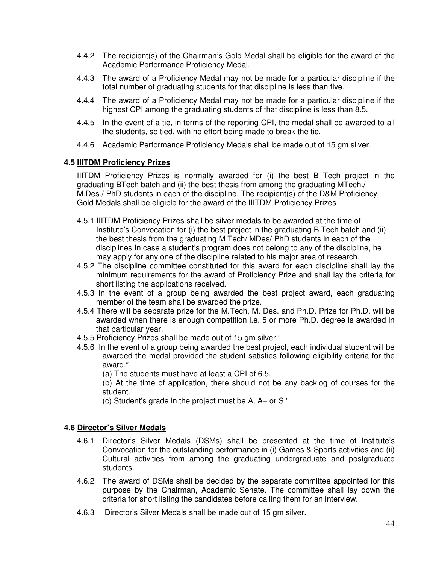- 4.4.2 The recipient(s) of the Chairman's Gold Medal shall be eligible for the award of the Academic Performance Proficiency Medal.
- 4.4.3 The award of a Proficiency Medal may not be made for a particular discipline if the total number of graduating students for that discipline is less than five.
- 4.4.4 The award of a Proficiency Medal may not be made for a particular discipline if the highest CPI among the graduating students of that discipline is less than 8.5.
- 4.4.5 In the event of a tie, in terms of the reporting CPI, the medal shall be awarded to all the students, so tied, with no effort being made to break the tie.
- 4.4.6 Academic Performance Proficiency Medals shall be made out of 15 gm silver.

#### **4.5 IIITDM Proficiency Prizes**

IIITDM Proficiency Prizes is normally awarded for (i) the best B Tech project in the graduating BTech batch and (ii) the best thesis from among the graduating MTech./ M.Des./ PhD students in each of the discipline. The recipient(s) of the D&M Proficiency Gold Medals shall be eligible for the award of the IIITDM Proficiency Prizes

- 4.5.1 IIITDM Proficiency Prizes shall be silver medals to be awarded at the time of Institute's Convocation for (i) the best project in the graduating B Tech batch and (ii) the best thesis from the graduating M Tech/ MDes/ PhD students in each of the disciplines.In case a student's program does not belong to any of the discipline, he may apply for any one of the discipline related to his major area of research.
- 4.5.2 The discipline committee constituted for this award for each discipline shall lay the minimum requirements for the award of Proficiency Prize and shall lay the criteria for short listing the applications received.
- 4.5.3 In the event of a group being awarded the best project award, each graduating member of the team shall be awarded the prize.
- 4.5.4 There will be separate prize for the M.Tech, M. Des. and Ph.D. Prize for Ph.D. will be awarded when there is enough competition i.e. 5 or more Ph.D. degree is awarded in that particular year.
- 4.5.5 Proficiency Prizes shall be made out of 15 gm silver."
- 4.5.6 In the event of a group being awarded the best project, each individual student will be awarded the medal provided the student satisfies following eligibility criteria for the award."

(a) The students must have at least a CPI of 6.5.

(b) At the time of application, there should not be any backlog of courses for the student.

(c) Student's grade in the project must be A, A+ or S."

#### **4.6 Director's Silver Medals**

- 4.6.1 Director's Silver Medals (DSMs) shall be presented at the time of Institute's Convocation for the outstanding performance in (i) Games & Sports activities and (ii) Cultural activities from among the graduating undergraduate and postgraduate students.
- 4.6.2 The award of DSMs shall be decided by the separate committee appointed for this purpose by the Chairman, Academic Senate. The committee shall lay down the criteria for short listing the candidates before calling them for an interview.
- 4.6.3 Director's Silver Medals shall be made out of 15 gm silver.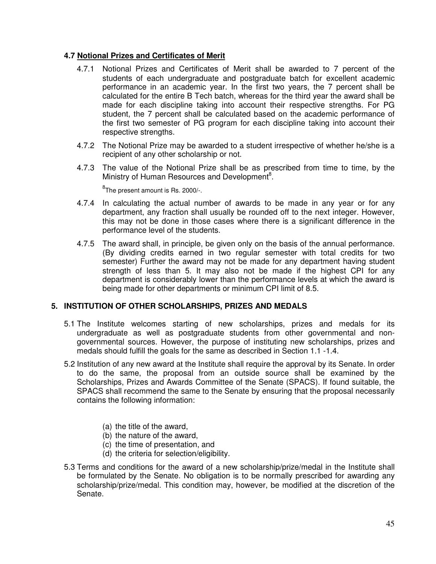#### **4.7 Notional Prizes and Certificates of Merit**

- 4.7.1 Notional Prizes and Certificates of Merit shall be awarded to 7 percent of the students of each undergraduate and postgraduate batch for excellent academic performance in an academic year. In the first two years, the 7 percent shall be calculated for the entire B Tech batch, whereas for the third year the award shall be made for each discipline taking into account their respective strengths. For PG student, the 7 percent shall be calculated based on the academic performance of the first two semester of PG program for each discipline taking into account their respective strengths.
- 4.7.2 The Notional Prize may be awarded to a student irrespective of whether he/she is a recipient of any other scholarship or not.
- 4.7.3 The value of the Notional Prize shall be as prescribed from time to time, by the Ministry of Human Resources and Development<sup>8</sup>.

 ${}^{8}$ The present amount is Rs. 2000/-.

- 4.7.4 In calculating the actual number of awards to be made in any year or for any department, any fraction shall usually be rounded off to the next integer. However, this may not be done in those cases where there is a significant difference in the performance level of the students.
- 4.7.5 The award shall, in principle, be given only on the basis of the annual performance. (By dividing credits earned in two regular semester with total credits for two semester) Further the award may not be made for any department having student strength of less than 5. It may also not be made if the highest CPI for any department is considerably lower than the performance levels at which the award is being made for other departments or minimum CPI limit of 8.5.

#### **5. INSTITUTION OF OTHER SCHOLARSHIPS, PRIZES AND MEDALS**

- 5.1 The Institute welcomes starting of new scholarships, prizes and medals for its undergraduate as well as postgraduate students from other governmental and nongovernmental sources. However, the purpose of instituting new scholarships, prizes and medals should fulfill the goals for the same as described in Section 1.1 -1.4.
- 5.2 Institution of any new award at the Institute shall require the approval by its Senate. In order to do the same, the proposal from an outside source shall be examined by the Scholarships, Prizes and Awards Committee of the Senate (SPACS). If found suitable, the SPACS shall recommend the same to the Senate by ensuring that the proposal necessarily contains the following information:
	- (a) the title of the award,
	- (b) the nature of the award,
	- (c) the time of presentation, and
	- (d) the criteria for selection/eligibility.
- 5.3 Terms and conditions for the award of a new scholarship/prize/medal in the Institute shall be formulated by the Senate. No obligation is to be normally prescribed for awarding any scholarship/prize/medal. This condition may, however, be modified at the discretion of the Senate.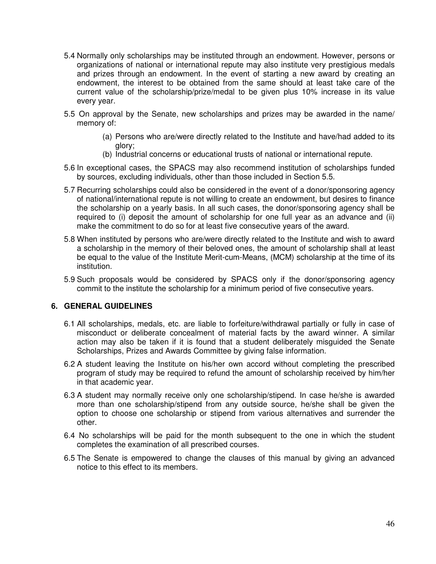- 5.4 Normally only scholarships may be instituted through an endowment. However, persons or organizations of national or international repute may also institute very prestigious medals and prizes through an endowment. In the event of starting a new award by creating an endowment, the interest to be obtained from the same should at least take care of the current value of the scholarship/prize/medal to be given plus 10% increase in its value every year.
- 5.5 On approval by the Senate, new scholarships and prizes may be awarded in the name/ memory of:
	- (a) Persons who are/were directly related to the Institute and have/had added to its glory;
	- (b) Industrial concerns or educational trusts of national or international repute.
- 5.6 In exceptional cases, the SPACS may also recommend institution of scholarships funded by sources, excluding individuals, other than those included in Section 5.5.
- 5.7 Recurring scholarships could also be considered in the event of a donor/sponsoring agency of national/international repute is not willing to create an endowment, but desires to finance the scholarship on a yearly basis. In all such cases, the donor/sponsoring agency shall be required to (i) deposit the amount of scholarship for one full year as an advance and (ii) make the commitment to do so for at least five consecutive years of the award.
- 5.8 When instituted by persons who are/were directly related to the Institute and wish to award a scholarship in the memory of their beloved ones, the amount of scholarship shall at least be equal to the value of the Institute Merit-cum-Means, (MCM) scholarship at the time of its institution.
- 5.9 Such proposals would be considered by SPACS only if the donor/sponsoring agency commit to the institute the scholarship for a minimum period of five consecutive years.

#### **6. GENERAL GUIDELINES**

- 6.1 All scholarships, medals, etc. are liable to forfeiture/withdrawal partially or fully in case of misconduct or deliberate concealment of material facts by the award winner. A similar action may also be taken if it is found that a student deliberately misguided the Senate Scholarships, Prizes and Awards Committee by giving false information.
- 6.2 A student leaving the Institute on his/her own accord without completing the prescribed program of study may be required to refund the amount of scholarship received by him/her in that academic year.
- 6.3 A student may normally receive only one scholarship/stipend. In case he/she is awarded more than one scholarship/stipend from any outside source, he/she shall be given the option to choose one scholarship or stipend from various alternatives and surrender the other.
- 6.4 No scholarships will be paid for the month subsequent to the one in which the student completes the examination of all prescribed courses.
- 6.5 The Senate is empowered to change the clauses of this manual by giving an advanced notice to this effect to its members.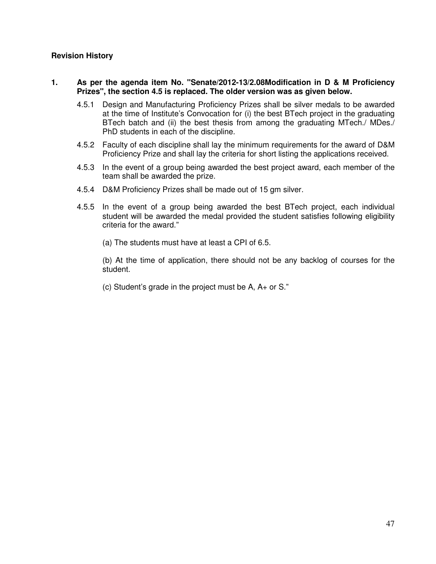#### **Revision History**

#### **1. As per the agenda item No. "Senate/2012-13/2.08Modification in D & M Proficiency Prizes", the section 4.5 is replaced. The older version was as given below.**

- 4.5.1 Design and Manufacturing Proficiency Prizes shall be silver medals to be awarded at the time of Institute's Convocation for (i) the best BTech project in the graduating BTech batch and (ii) the best thesis from among the graduating MTech./ MDes./ PhD students in each of the discipline.
- 4.5.2 Faculty of each discipline shall lay the minimum requirements for the award of D&M Proficiency Prize and shall lay the criteria for short listing the applications received.
- 4.5.3 In the event of a group being awarded the best project award, each member of the team shall be awarded the prize.
- 4.5.4 D&M Proficiency Prizes shall be made out of 15 gm silver.
- 4.5.5 In the event of a group being awarded the best BTech project, each individual student will be awarded the medal provided the student satisfies following eligibility criteria for the award."
	- (a) The students must have at least a CPI of 6.5.

(b) At the time of application, there should not be any backlog of courses for the student.

(c) Student's grade in the project must be A, A+ or S."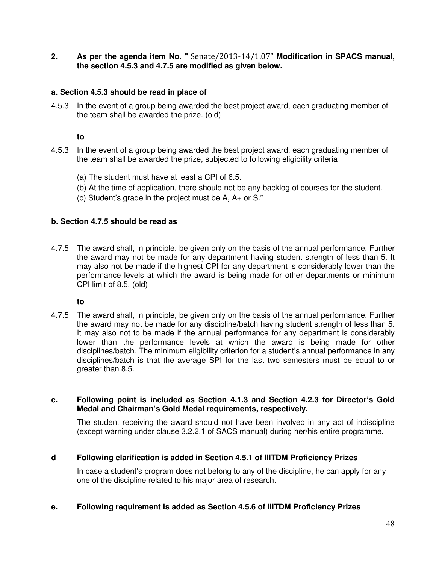**2. As per the agenda item No. "** Senate/2013-14/1.07" **Modification in SPACS manual, the section 4.5.3 and 4.7.5 are modified as given below.** 

#### **a. Section 4.5.3 should be read in place of**

4.5.3 In the event of a group being awarded the best project award, each graduating member of the team shall be awarded the prize. (old)

#### **to**

- 4.5.3 In the event of a group being awarded the best project award, each graduating member of the team shall be awarded the prize, subjected to following eligibility criteria
	- (a) The student must have at least a CPI of 6.5.
	- (b) At the time of application, there should not be any backlog of courses for the student.
	- (c) Student's grade in the project must be A, A+ or S."

#### **b. Section 4.7.5 should be read as**

4.7.5 The award shall, in principle, be given only on the basis of the annual performance. Further the award may not be made for any department having student strength of less than 5. It may also not be made if the highest CPI for any department is considerably lower than the performance levels at which the award is being made for other departments or minimum CPI limit of 8.5. (old)

 **to** 

4.7.5 The award shall, in principle, be given only on the basis of the annual performance. Further the award may not be made for any discipline/batch having student strength of less than 5. It may also not to be made if the annual performance for any department is considerably lower than the performance levels at which the award is being made for other disciplines/batch. The minimum eligibility criterion for a student's annual performance in any disciplines/batch is that the average SPI for the last two semesters must be equal to or greater than 8.5.

#### **c. Following point is included as Section 4.1.3 and Section 4.2.3 for Director's Gold Medal and Chairman's Gold Medal requirements, respectively.**

The student receiving the award should not have been involved in any act of indiscipline (except warning under clause 3.2.2.1 of SACS manual) during her/his entire programme.

#### **d Following clarification is added in Section 4.5.1 of IIITDM Proficiency Prizes**

In case a student's program does not belong to any of the discipline, he can apply for any one of the discipline related to his major area of research.

#### **e. Following requirement is added as Section 4.5.6 of IIITDM Proficiency Prizes**